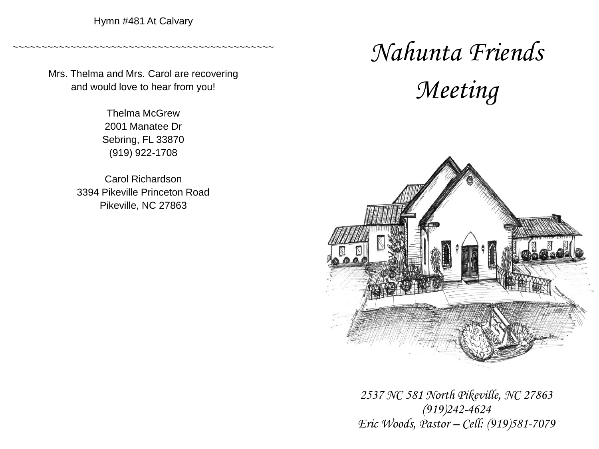Hymn #481 At Calvary

~~~~~~~~~~~~~~~~~~~~~~~~~~~~~~~~~~~~~~~~~~~~~

Mrs. Thelma and Mrs. Carol are recovering and would love to hear from you!

> Thelma McGrew 2001 Manatee Dr Sebring, FL 33870 (919) 922-1708

Carol Richardson 3394 Pikeville Princeton Road Pikeville, NC 27863

# *Nahunta Friends Meeting*



*2537 NC 581 North Pikeville, NC 27863 (919)242-4624 Eric Woods, Pastor – Cell: (919)581-7079*